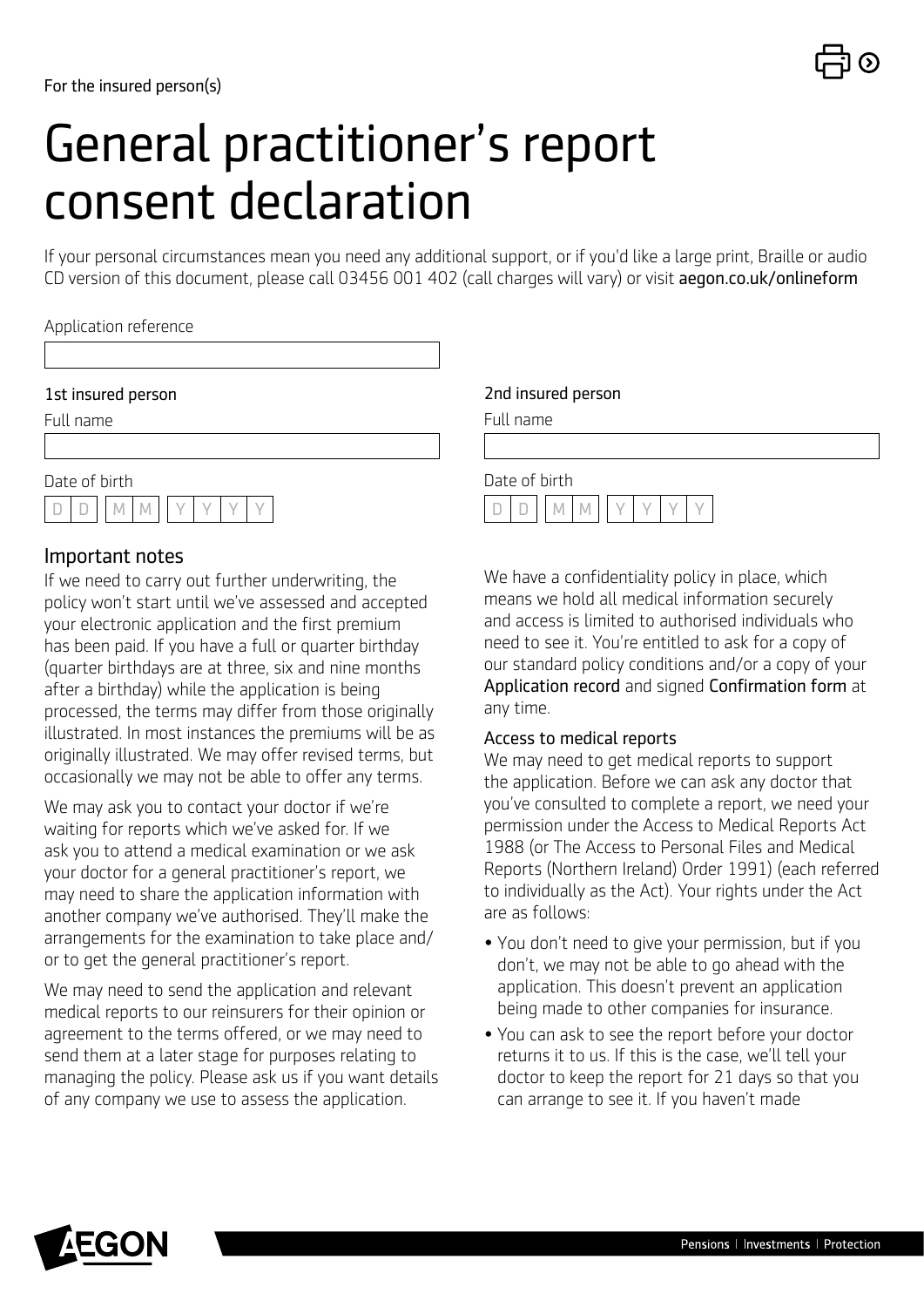# General practitioner's report consent declaration

If your personal circumstances mean you need any additional support, or if you'd like a large print, Braille or audio CD version of this document, please call 03456 001 402 (call charges will vary) or visit [aegon.co.uk/onlineform](http://aegon.co.uk/onlineform)

### Application reference

### 1st insured person

Full name

Date of birth  $D$   $D$   $M$   $M$ 

### Important notes

If we need to carry out further underwriting, the policy won't start until we've assessed and accepted your electronic application and the first premium has been paid. If you have a full or quarter birthday (quarter birthdays are at three, six and nine months after a birthday) while the application is being processed, the terms may differ from those originally illustrated. In most instances the premiums will be as originally illustrated. We may offer revised terms, but occasionally we may not be able to offer any terms.

We may ask you to contact your doctor if we're waiting for reports which we've asked for. If we ask you to attend a medical examination or we ask your doctor for a general practitioner's report, we may need to share the application information with another company we've authorised. They'll make the arrangements for the examination to take place and/ or to get the general practitioner's report.

We may need to send the application and relevant medical reports to our reinsurers for their opinion or agreement to the terms offered, or we may need to send them at a later stage for purposes relating to managing the policy. Please ask us if you want details of any company we use to assess the application.

### 2nd insured person

Full name





We have a confidentiality policy in place, which means we hold all medical information securely and access is limited to authorised individuals who need to see it. You're entitled to ask for a copy of our standard policy conditions and/or a copy of your Application record and signed Confirmation form at any time.

### Access to medical reports

We may need to get medical reports to support the application. Before we can ask any doctor that you've consulted to complete a report, we need your permission under the Access to Medical Reports Act 1988 (or The Access to Personal Files and Medical Reports (Northern Ireland) Order 1991) (each referred to individually as the Act). Your rights under the Act are as follows:

- You don't need to give your permission, but if you don't, we may not be able to go ahead with the application. This doesn't prevent an application being made to other companies for insurance.
- You can ask to see the report before your doctor returns it to us. If this is the case, we'll tell your doctor to keep the report for 21 days so that you can arrange to see it. If you haven't made

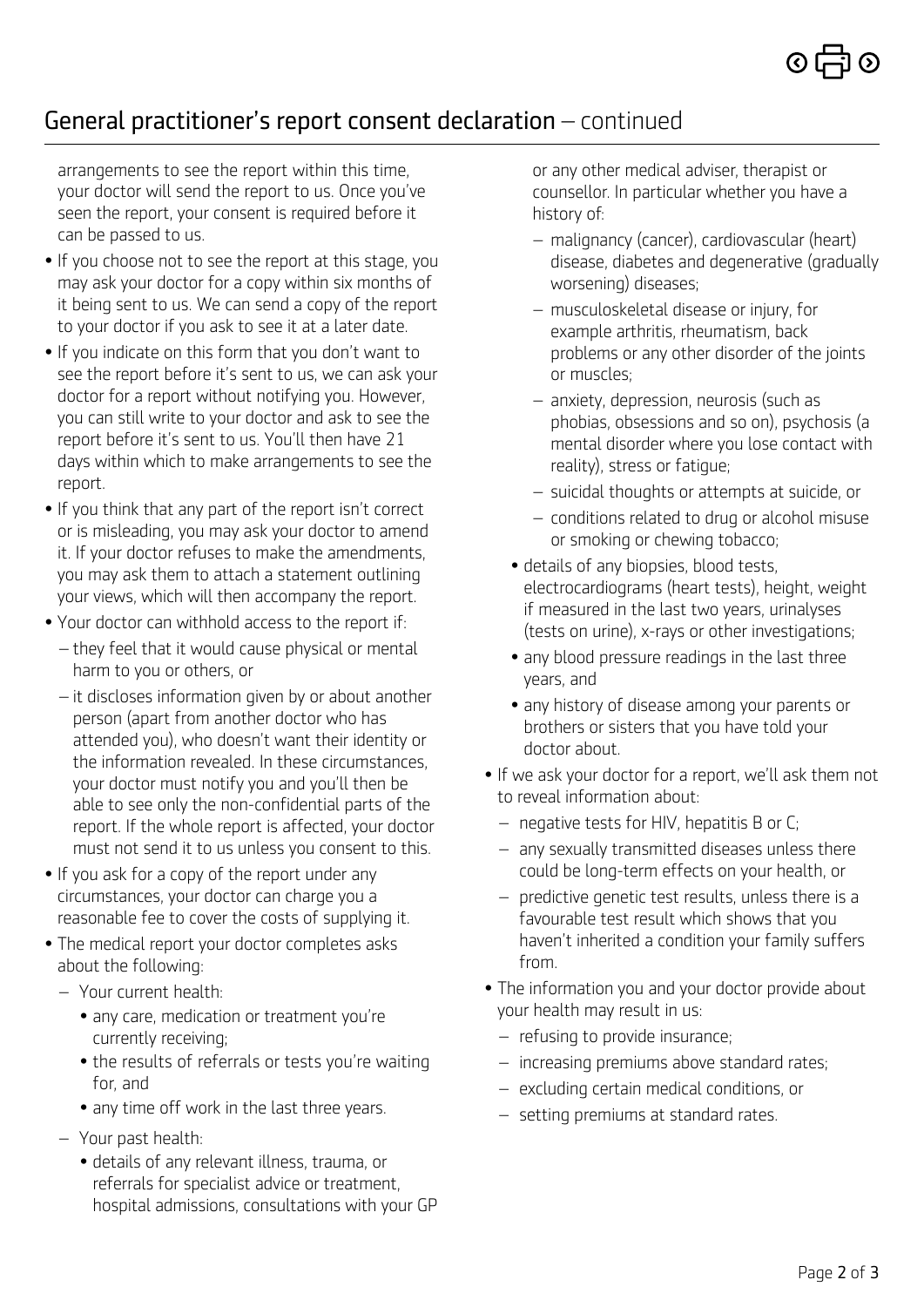# General practitioner's report consent declaration – continued

arrangements to see the report within this time, your doctor will send the report to us. Once you've seen the report, your consent is required before it can be passed to us.

- If you choose not to see the report at this stage, you may ask your doctor for a copy within six months of it being sent to us. We can send a copy of the report to your doctor if you ask to see it at a later date.
- If you indicate on this form that you don't want to see the report before it's sent to us, we can ask your doctor for a report without notifying you. However, you can still write to your doctor and ask to see the report before it's sent to us. You'll then have 21 days within which to make arrangements to see the report.
- If you think that any part of the report isn't correct or is misleading, you may ask your doctor to amend it. If your doctor refuses to make the amendments, you may ask them to attach a statement outlining your views, which will then accompany the report.
- Your doctor can withhold access to the report if:
	- they feel that it would cause physical or mental harm to you or others, or
	- it discloses information given by or about another person (apart from another doctor who has attended you), who doesn't want their identity or the information revealed. In these circumstances, your doctor must notify you and you'll then be able to see only the non-confidential parts of the report. If the whole report is affected, your doctor must not send it to us unless you consent to this.
- If you ask for a copy of the report under any circumstances, your doctor can charge you a reasonable fee to cover the costs of supplying it.
- The medical report your doctor completes asks about the following:
	- Your current health:
		- any care, medication or treatment you're currently receiving;
		- the results of referrals or tests you're waiting for, and
		- any time off work in the last three years.
	- Your past health:
		- details of any relevant illness, trauma, or referrals for specialist advice or treatment, hospital admissions, consultations with your GP

or any other medical adviser, therapist or counsellor. In particular whether you have a history of:

- malignancy (cancer), cardiovascular (heart) disease, diabetes and degenerative (gradually worsening) diseases;
- musculoskeletal disease or injury, for example arthritis, rheumatism, back problems or any other disorder of the joints or muscles;
- anxiety, depression, neurosis (such as phobias, obsessions and so on), psychosis (a mental disorder where you lose contact with reality), stress or fatigue;
- suicidal thoughts or attempts at suicide, or
- conditions related to drug or alcohol misuse or smoking or chewing tobacco;
- details of any biopsies, blood tests, electrocardiograms (heart tests), height, weight if measured in the last two years, urinalyses (tests on urine), x-rays or other investigations;
- any blood pressure readings in the last three years, and
- any history of disease among your parents or brothers or sisters that you have told your doctor about.
- If we ask your doctor for a report, we'll ask them not to reveal information about:
	- negative tests for HIV, hepatitis B or C;
	- any sexually transmitted diseases unless there could be long-term effects on your health, or
	- predictive genetic test results, unless there is a favourable test result which shows that you haven't inherited a condition your family suffers from.
- The information you and your doctor provide about your health may result in us:
	- refusing to provide insurance;
	- increasing premiums above standard rates;
	- excluding certain medical conditions, or
	- setting premiums at standard rates.